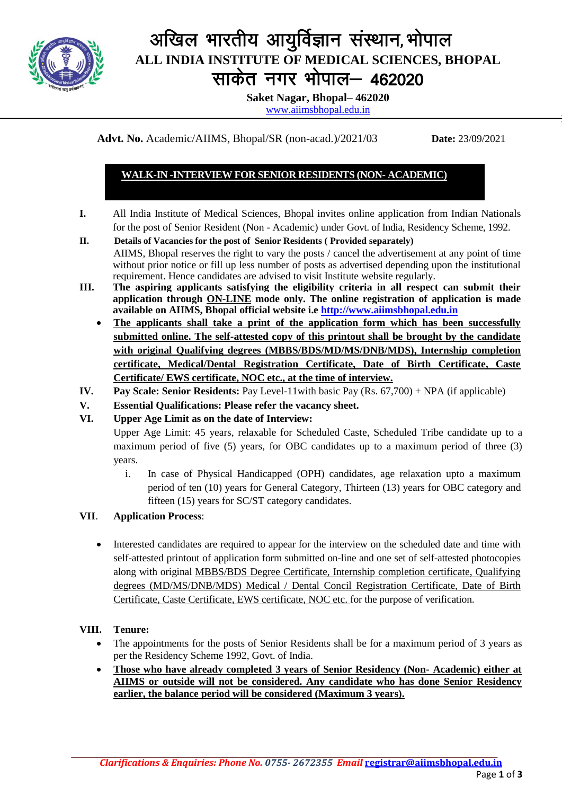

# अखिल भारतीय आयुर्विज्ञान संस्थान, भोपाल **ALL INDIA INSTITUTE OF MEDICAL SCIENCES, BHOPAL** साकेत नगर भोपाल- 462020

**Saket Nagar, Bhopal– 462020**

[www.aiimsbhopal.edu.in](http://www.aiimsbhopal.edu.in/)

**Advt. No.** Academic/AIIMS, Bhopal/SR (non-acad.)/2021/03 **Date:** 23/09/2021

## **WALK-IN -INTERVIEW FOR SENIOR RESIDENTS (NON- ACADEMIC)**

- **I.** All India Institute of Medical Sciences, Bhopal invites online application from Indian Nationals for the post of Senior Resident (Non - Academic) under Govt. of India, Residency Scheme, 1992.
- **II. Details of Vacancies for the post of Senior Residents ( Provided separately)**  AIIMS, Bhopal reserves the right to vary the posts / cancel the advertisement at any point of time without prior notice or fill up less number of posts as advertised depending upon the institutional requirement. Hence candidates are advised to visit Institute website regularly.
- **III. The aspiring applicants satisfying the eligibility criteria in all respect can submit their application through ON-LINE mode only. The online registration of application is made available on AIIMS, Bhopal official website i.e http://www.aiimsbhopal.edu.in**
	- **The applicants shall take a print of the application form which has been successfully submitted online. The self-attested copy of this printout shall be brought by the candidate with original Qualifying degrees (MBBS/BDS/MD/MS/DNB/MDS), Internship completion certificate, Medical/Dental Registration Certificate, Date of Birth Certificate, Caste Certificate/ EWS certificate, NOC etc., at the time of interview.**
- **IV. Pay Scale: Senior Residents:** Pay Level-11with basic Pay (Rs. 67,700) + NPA (if applicable)
- **V. Essential Qualifications: Please refer the vacancy sheet.**
- **VI. Upper Age Limit as on the date of Interview:**

Upper Age Limit: 45 years, relaxable for Scheduled Caste, Scheduled Tribe candidate up to a maximum period of five (5) years, for OBC candidates up to a maximum period of three (3) years.

i. In case of Physical Handicapped (OPH) candidates, age relaxation upto a maximum period of ten (10) years for General Category, Thirteen (13) years for OBC category and fifteen (15) years for SC/ST category candidates.

## **VII**. **Application Process**:

 Interested candidates are required to appear for the interview on the scheduled date and time with self-attested printout of application form submitted on-line and one set of self-attested photocopies along with original MBBS/BDS Degree Certificate, Internship completion certificate, Qualifying degrees (MD/MS/DNB/MDS) Medical / Dental Concil Registration Certificate, Date of Birth Certificate, Caste Certificate, EWS certificate, NOC etc. for the purpose of verification.

## **VIII. Tenure:**

- The appointments for the posts of Senior Residents shall be for a maximum period of 3 years as per the Residency Scheme 1992, Govt. of India.
- **Those who have already completed 3 years of Senior Residency (Non- Academic) either at AIIMS or outside will not be considered. Any candidate who has done Senior Residency earlier, the balance period will be considered (Maximum 3 years).**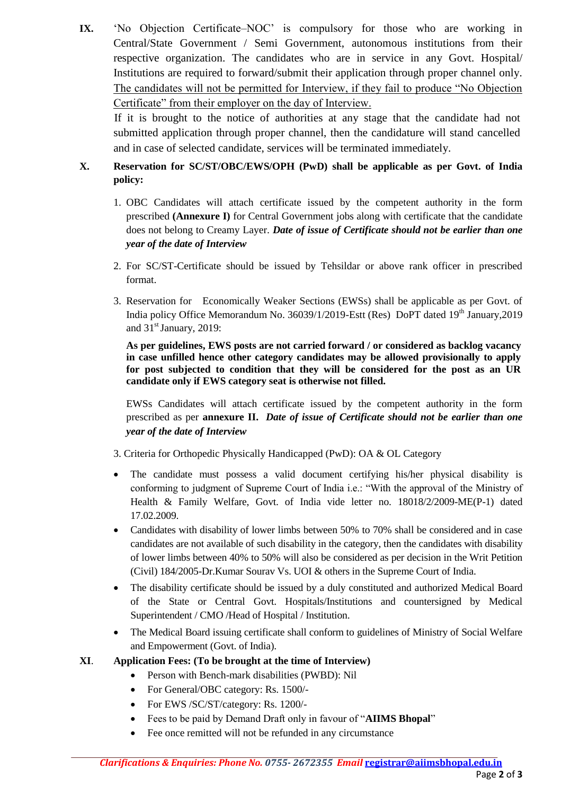**IX.** 'No Objection Certificate–NOC' is compulsory for those who are working in Central/State Government / Semi Government, autonomous institutions from their respective organization. The candidates who are in service in any Govt. Hospital/ Institutions are required to forward/submit their application through proper channel only. The candidates will not be permitted for Interview, if they fail to produce "No Objection Certificate" from their employer on the day of Interview.

If it is brought to the notice of authorities at any stage that the candidate had not submitted application through proper channel, then the candidature will stand cancelled and in case of selected candidate, services will be terminated immediately.

# **X. Reservation for SC/ST/OBC/EWS/OPH (PwD) shall be applicable as per Govt. of India policy:**

- 1. OBC Candidates will attach certificate issued by the competent authority in the form prescribed **(Annexure I)** for Central Government jobs along with certificate that the candidate does not belong to Creamy Layer. *Date of issue of Certificate should not be earlier than one year of the date of Interview*
- 2. For SC/ST-Certificate should be issued by Tehsildar or above rank officer in prescribed format.
- 3. Reservation for Economically Weaker Sections (EWSs) shall be applicable as per Govt. of India policy Office Memorandum No.  $36039/1/2019$ -Estt (Res) DoPT dated  $19<sup>th</sup>$  January, 2019 and  $31<sup>st</sup>$  January, 2019:

**As per guidelines, EWS posts are not carried forward / or considered as backlog vacancy in case unfilled hence other category candidates may be allowed provisionally to apply for post subjected to condition that they will be considered for the post as an UR candidate only if EWS category seat is otherwise not filled.**

EWSs Candidates will attach certificate issued by the competent authority in the form prescribed as per **annexure II.** *Date of issue of Certificate should not be earlier than one year of the date of Interview*

- 3. Criteria for Orthopedic Physically Handicapped (PwD): OA & OL Category
- The candidate must possess a valid document certifying his/her physical disability is conforming to judgment of Supreme Court of India i.e.: "With the approval of the Ministry of Health & Family Welfare, Govt. of India vide letter no. 18018/2/2009-ME(P-1) dated 17.02.2009.
- Candidates with disability of lower limbs between 50% to 70% shall be considered and in case candidates are not available of such disability in the category, then the candidates with disability of lower limbs between 40% to 50% will also be considered as per decision in the Writ Petition (Civil) 184/2005-Dr.Kumar Sourav Vs. UOI & others in the Supreme Court of India.
- The disability certificate should be issued by a duly constituted and authorized Medical Board of the State or Central Govt. Hospitals/Institutions and countersigned by Medical Superintendent / CMO /Head of Hospital / Institution.
- The Medical Board issuing certificate shall conform to guidelines of Ministry of Social Welfare and Empowerment (Govt. of India).

## **XI**. **Application Fees: (To be brought at the time of Interview)**

- Person with Bench-mark disabilities (PWBD): Nil
- For General/OBC category: Rs. 1500/-
- For EWS /SC/ST/category: Rs. 1200/-
- Fees to be paid by Demand Draft only in favour of "**AIIMS Bhopal**"
- Fee once remitted will not be refunded in any circumstance